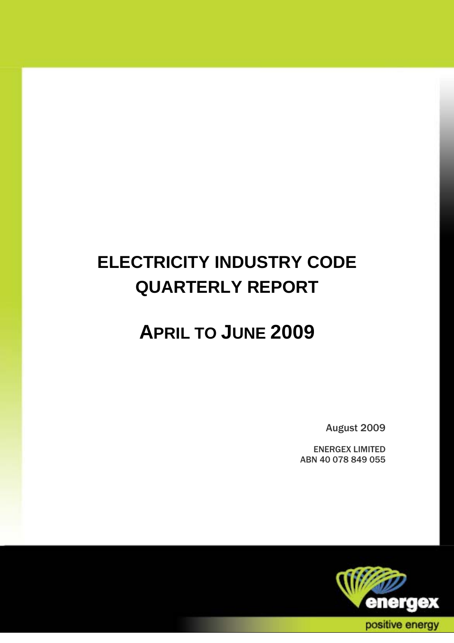# **ELECTRICITY INDUSTRY CODE QUARTERLY REPORT**

## **APRIL TO JUNE 2009**

August 2009

ENERGEX LIMITED ABN 40 078 849 055

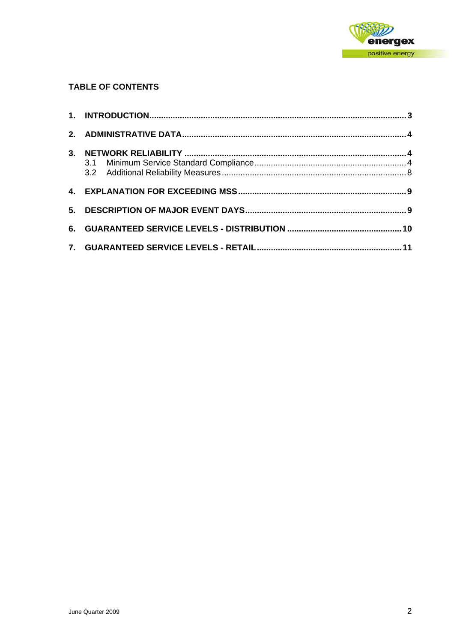

#### **TABLE OF CONTENTS**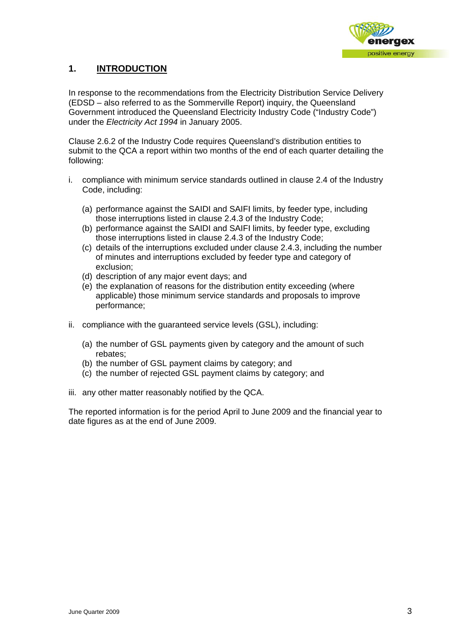

#### <span id="page-2-0"></span>**1. INTRODUCTION**

In response to the recommendations from the Electricity Distribution Service Delivery (EDSD – also referred to as the Sommerville Report) inquiry, the Queensland Government introduced the Queensland Electricity Industry Code ("Industry Code") under the *Electricity Act 1994* in January 2005.

Clause 2.6.2 of the Industry Code requires Queensland's distribution entities to submit to the QCA a report within two months of the end of each quarter detailing the following:

- i. compliance with minimum service standards outlined in clause 2.4 of the Industry Code, including:
	- (a) performance against the SAIDI and SAIFI limits, by feeder type, including those interruptions listed in clause 2.4.3 of the Industry Code;
	- (b) performance against the SAIDI and SAIFI limits, by feeder type, excluding those interruptions listed in clause 2.4.3 of the Industry Code;
	- (c) details of the interruptions excluded under clause 2.4.3, including the number of minutes and interruptions excluded by feeder type and category of exclusion;
	- (d) description of any major event days; and
	- (e) the explanation of reasons for the distribution entity exceeding (where applicable) those minimum service standards and proposals to improve performance;
- ii. compliance with the guaranteed service levels (GSL), including:
	- (a) the number of GSL payments given by category and the amount of such rebates;
	- (b) the number of GSL payment claims by category; and
	- (c) the number of rejected GSL payment claims by category; and
- iii. any other matter reasonably notified by the QCA.

The reported information is for the period April to June 2009 and the financial year to date figures as at the end of June 2009.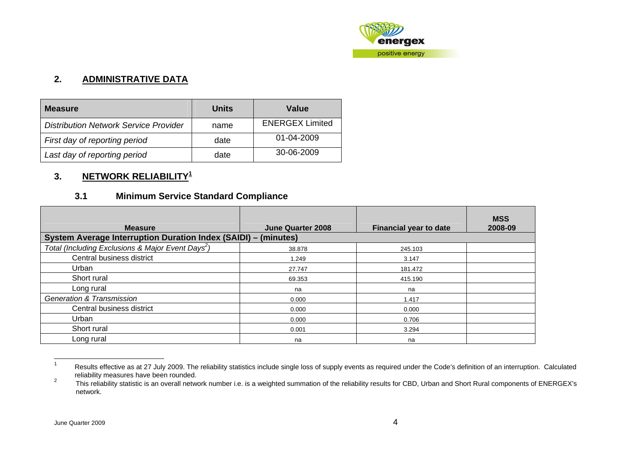

#### **2. ADMINISTRATIVE DATA**

| <b>Measure</b>                               | Units | Value                  |
|----------------------------------------------|-------|------------------------|
| <b>Distribution Network Service Provider</b> | name  | <b>ENERGEX Limited</b> |
| First day of reporting period                | date  | 01-04-2009             |
| Last day of reporting period                 | date  | 30-06-2009             |

#### **3. NETWORK RELIABILITY[1](#page-3-1)**

#### **3.1 Minimum Service Standard Compliance**

| <b>Measure</b>                                                        | <b>June Quarter 2008</b> | <b>Financial year to date</b> | <b>MSS</b><br>2008-09 |
|-----------------------------------------------------------------------|--------------------------|-------------------------------|-----------------------|
| <b>System Average Interruption Duration Index (SAIDI) - (minutes)</b> |                          |                               |                       |
| Total (Including Exclusions & Major Event Days <sup>2</sup> )         | 38.878                   | 245.103                       |                       |
| Central business district                                             | 1.249                    | 3.147                         |                       |
| Urban                                                                 | 27.747                   | 181.472                       |                       |
| Short rural                                                           | 69.353                   | 415.190                       |                       |
| Long rural                                                            | na                       | na                            |                       |
| <b>Generation &amp; Transmission</b>                                  | 0.000                    | 1.417                         |                       |
| Central business district                                             | 0.000                    | 0.000                         |                       |
| Urban                                                                 | 0.000                    | 0.706                         |                       |
| Short rural                                                           | 0.001                    | 3.294                         |                       |
| Long rural                                                            | na                       | na                            |                       |

<sup>1</sup> Results effective as at 27 July 2009. The reliability statistics include single loss of supply events as required under the Code's definition of an interruption. Calculated reliability measures have been rounded.<br><sup>2</sup> This reliability statistic is an overall nature

<span id="page-3-2"></span><span id="page-3-1"></span><span id="page-3-0"></span>This reliability statistic is an overall network number i.e. is a weighted summation of the reliability results for CBD, Urban and Short Rural components of ENERGEX's network.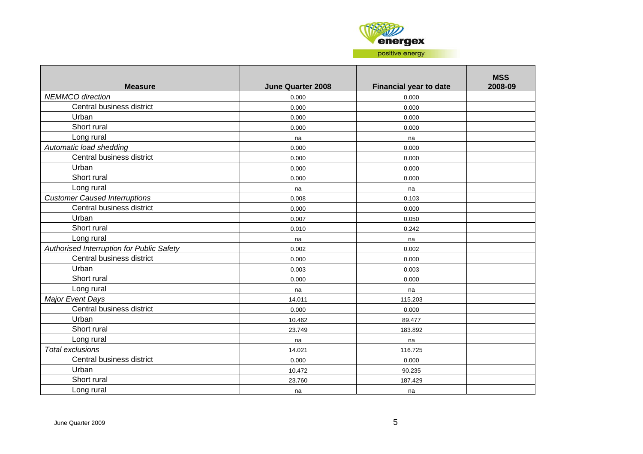

| <b>Measure</b>                            | <b>June Quarter 2008</b> | <b>Financial year to date</b> | <b>MSS</b><br>2008-09 |
|-------------------------------------------|--------------------------|-------------------------------|-----------------------|
| <b>NEMMCO</b> direction                   | 0.000                    | 0.000                         |                       |
| Central business district                 | 0.000                    | 0.000                         |                       |
| Urban                                     | 0.000                    | 0.000                         |                       |
| Short rural                               | 0.000                    | 0.000                         |                       |
| Long rural                                | na                       | na                            |                       |
| Automatic load shedding                   | 0.000                    | 0.000                         |                       |
| Central business district                 | 0.000                    | 0.000                         |                       |
| Urban                                     | 0.000                    | 0.000                         |                       |
| Short rural                               | 0.000                    | 0.000                         |                       |
| Long rural                                | na                       | na                            |                       |
| <b>Customer Caused Interruptions</b>      | 0.008                    | 0.103                         |                       |
| Central business district                 | 0.000                    | 0.000                         |                       |
| Urban                                     | 0.007                    | 0.050                         |                       |
| Short rural                               | 0.010                    | 0.242                         |                       |
| Long rural                                | na                       | na                            |                       |
| Authorised Interruption for Public Safety | 0.002                    | 0.002                         |                       |
| Central business district                 | 0.000                    | 0.000                         |                       |
| Urban                                     | 0.003                    | 0.003                         |                       |
| Short rural                               | 0.000                    | 0.000                         |                       |
| Long rural                                | na                       | na                            |                       |
| <b>Major Event Days</b>                   | 14.011                   | 115.203                       |                       |
| Central business district                 | 0.000                    | 0.000                         |                       |
| Urban                                     | 10.462                   | 89.477                        |                       |
| Short rural                               | 23.749                   | 183.892                       |                       |
| Long rural                                | na                       | na                            |                       |
| <b>Total exclusions</b>                   | 14.021                   | 116.725                       |                       |
| Central business district                 | 0.000                    | 0.000                         |                       |
| Urban                                     | 10.472                   | 90.235                        |                       |
| Short rural                               | 23.760                   | 187.429                       |                       |
| Long rural                                | na                       | na                            |                       |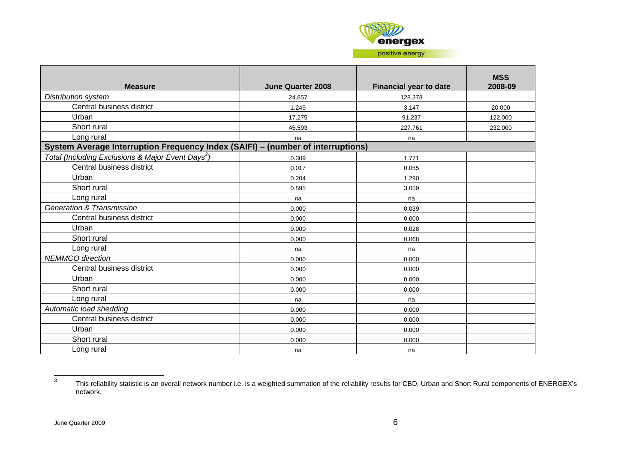

| <b>Measure</b>                                                                  | <b>June Quarter 2008</b> | <b>Financial year to date</b> | <b>MSS</b><br>2008-09 |
|---------------------------------------------------------------------------------|--------------------------|-------------------------------|-----------------------|
| <b>Distribution system</b>                                                      | 24.857                   | 128.378                       |                       |
| Central business district                                                       | 1.249                    | 3.147                         | 20.000                |
| Urban                                                                           | 17.275                   | 91.237                        | 122.000               |
| Short rural                                                                     | 45.593                   | 227.761                       | 232.000               |
| Long rural                                                                      | na                       | na                            |                       |
| System Average Interruption Frequency Index (SAIFI) - (number of interruptions) |                          |                               |                       |
| Total (Including Exclusions & Major Event Days <sup>3</sup> )                   | 0.309                    | 1.771                         |                       |
| Central business district                                                       | 0.017                    | 0.055                         |                       |
| Urban                                                                           | 0.204                    | 1.290                         |                       |
| Short rural                                                                     | 0.595                    | 3.059                         |                       |
| Long rural                                                                      | na                       | na                            |                       |
| <b>Generation &amp; Transmission</b>                                            | 0.000                    | 0.039                         |                       |
| Central business district                                                       | 0.000                    | 0.000                         |                       |
| Urban                                                                           | 0.000                    | 0.028                         |                       |
| Short rural                                                                     | 0.000                    | 0.068                         |                       |
| Long rural                                                                      | na                       | na                            |                       |
| <b>NEMMCO</b> direction                                                         | 0.000                    | 0.000                         |                       |
| Central business district                                                       | 0.000                    | 0.000                         |                       |
| Urban                                                                           | 0.000                    | 0.000                         |                       |
| Short rural                                                                     | 0.000                    | 0.000                         |                       |
| Long rural                                                                      | na                       | na                            |                       |
| Automatic load shedding                                                         | 0.000                    | 0.000                         |                       |
| Central business district                                                       | 0.000                    | 0.000                         |                       |
| Urban                                                                           | 0.000                    | 0.000                         |                       |
| Short rural                                                                     | 0.000                    | 0.000                         |                       |
| Long rural                                                                      | na                       | na                            |                       |

<span id="page-5-0"></span><sup>3</sup> This reliability statistic is an overall network number i.e. is a weighted summation of the reliability results for CBD, Urban and Short Rural components of ENERGEX's network.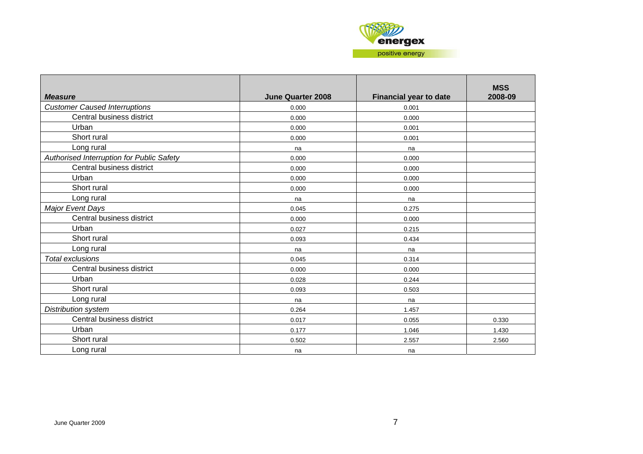

| <b>Measure</b>                            | <b>June Quarter 2008</b> | <b>Financial year to date</b> | <b>MSS</b><br>2008-09 |
|-------------------------------------------|--------------------------|-------------------------------|-----------------------|
| <b>Customer Caused Interruptions</b>      | 0.000                    | 0.001                         |                       |
| Central business district                 | 0.000                    | 0.000                         |                       |
| Urban                                     | 0.000                    | 0.001                         |                       |
| Short rural                               | 0.000                    | 0.001                         |                       |
| Long rural                                | na                       | na                            |                       |
| Authorised Interruption for Public Safety | 0.000                    | 0.000                         |                       |
| Central business district                 | 0.000                    | 0.000                         |                       |
| Urban                                     | 0.000                    | 0.000                         |                       |
| Short rural                               | 0.000                    | 0.000                         |                       |
| Long rural                                | na                       | na                            |                       |
| <b>Major Event Days</b>                   | 0.045                    | 0.275                         |                       |
| Central business district                 | 0.000                    | 0.000                         |                       |
| Urban                                     | 0.027                    | 0.215                         |                       |
| Short rural                               | 0.093                    | 0.434                         |                       |
| Long rural                                | na                       | na                            |                       |
| <b>Total exclusions</b>                   | 0.045                    | 0.314                         |                       |
| Central business district                 | 0.000                    | 0.000                         |                       |
| Urban                                     | 0.028                    | 0.244                         |                       |
| Short rural                               | 0.093                    | 0.503                         |                       |
| Long rural                                | na                       | na                            |                       |
| Distribution system                       | 0.264                    | 1.457                         |                       |
| Central business district                 | 0.017                    | 0.055                         | 0.330                 |
| Urban                                     | 0.177                    | 1.046                         | 1.430                 |
| Short rural                               | 0.502                    | 2.557                         | 2.560                 |
| Long rural                                | na                       | na                            |                       |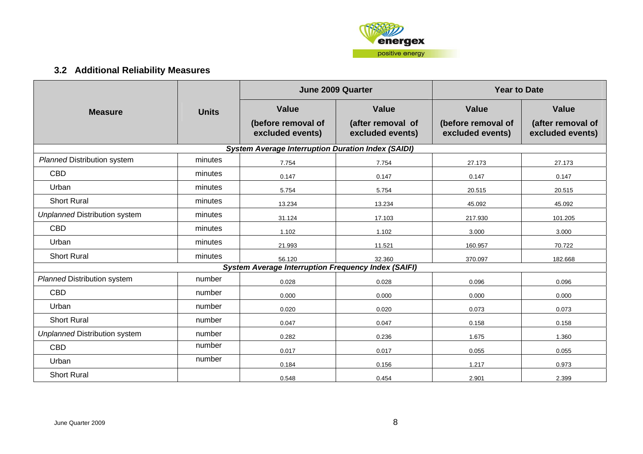

### **3.2 Additional Reliability Measures**

<span id="page-7-0"></span>

|                                                            |              |                                                           | <b>June 2009 Quarter</b>              | <b>Year to Date</b>                    |                                       |  |
|------------------------------------------------------------|--------------|-----------------------------------------------------------|---------------------------------------|----------------------------------------|---------------------------------------|--|
| <b>Measure</b>                                             | <b>Units</b> | <b>Value</b>                                              | <b>Value</b>                          | <b>Value</b>                           | <b>Value</b>                          |  |
|                                                            |              | (before removal of<br>excluded events)                    | (after removal of<br>excluded events) | (before removal of<br>excluded events) | (after removal of<br>excluded events) |  |
|                                                            |              | <b>System Average Interruption Duration Index (SAIDI)</b> |                                       |                                        |                                       |  |
| <b>Planned Distribution system</b>                         | minutes      | 7.754                                                     | 7.754                                 | 27.173                                 | 27.173                                |  |
| <b>CBD</b>                                                 | minutes      | 0.147                                                     | 0.147                                 | 0.147                                  | 0.147                                 |  |
| Urban                                                      | minutes      | 5.754                                                     | 5.754                                 | 20.515                                 | 20.515                                |  |
| <b>Short Rural</b>                                         | minutes      | 13.234                                                    | 13.234                                | 45.092                                 | 45.092                                |  |
| <b>Unplanned Distribution system</b>                       | minutes      | 31.124                                                    | 17.103                                | 217.930                                | 101.205                               |  |
| <b>CBD</b>                                                 | minutes      | 1.102                                                     | 1.102                                 | 3.000                                  | 3.000                                 |  |
| Urban                                                      | minutes      | 21.993                                                    | 11.521                                | 160.957                                | 70.722                                |  |
| <b>Short Rural</b>                                         | minutes      | 56.120                                                    | 32.360                                | 370.097                                | 182.668                               |  |
| <b>System Average Interruption Frequency Index (SAIFI)</b> |              |                                                           |                                       |                                        |                                       |  |
| <b>Planned Distribution system</b>                         | number       | 0.028                                                     | 0.028                                 | 0.096                                  | 0.096                                 |  |
| <b>CBD</b>                                                 | number       | 0.000                                                     | 0.000                                 | 0.000                                  | 0.000                                 |  |
| Urban                                                      | number       | 0.020                                                     | 0.020                                 | 0.073                                  | 0.073                                 |  |
| <b>Short Rural</b>                                         | number       | 0.047                                                     | 0.047                                 | 0.158                                  | 0.158                                 |  |
| <b>Unplanned Distribution system</b>                       | number       | 0.282                                                     | 0.236                                 | 1.675                                  | 1.360                                 |  |
| <b>CBD</b>                                                 | number       | 0.017                                                     | 0.017                                 | 0.055                                  | 0.055                                 |  |
| Urban                                                      | number       | 0.184                                                     | 0.156                                 | 1.217                                  | 0.973                                 |  |
| <b>Short Rural</b>                                         |              | 0.548                                                     | 0.454                                 | 2.901                                  | 2.399                                 |  |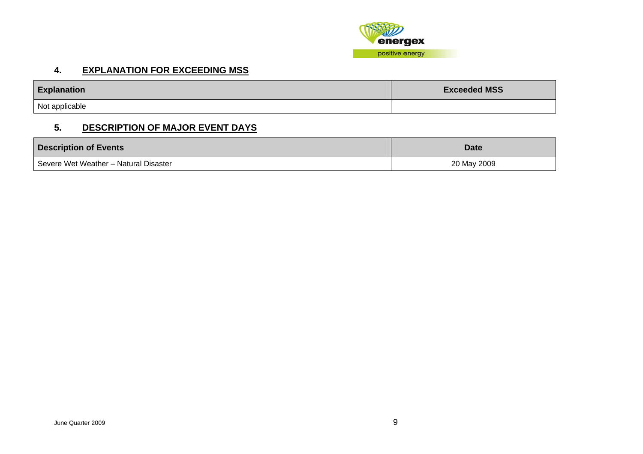

#### **4. EXPLANATION FOR EXCEEDING MSS**

| <b>Explanation</b> | <b>Exceeded MSS</b> |
|--------------------|---------------------|
| Not applicable     |                     |

#### **5. DESCRIPTION OF MAJOR EVENT DAYS**

<span id="page-8-0"></span>

| <b>Description of Events</b>          | <b>Date</b> |
|---------------------------------------|-------------|
| Severe Wet Weather - Natural Disaster | 20 May 2009 |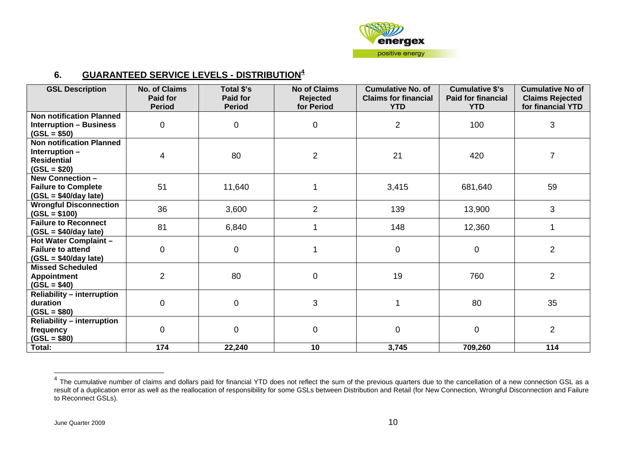

#### **6. GUARANTEED SERVICE LEVELS - DISTRIBUTION<sup>4</sup>**

| <b>GSL Description</b>                                                                   | <b>No. of Claims</b><br><b>Paid for</b><br><b>Period</b> | Total \$'s<br>Paid for<br><b>Period</b> | <b>No of Claims</b><br><b>Rejected</b><br>for Period | <b>Cumulative No. of</b><br><b>Claims for financial</b><br><b>YTD</b> | <b>Cumulative \$'s</b><br><b>Paid for financial</b><br><b>YTD</b> | <b>Cumulative No of</b><br><b>Claims Rejected</b><br>for financial YTD |
|------------------------------------------------------------------------------------------|----------------------------------------------------------|-----------------------------------------|------------------------------------------------------|-----------------------------------------------------------------------|-------------------------------------------------------------------|------------------------------------------------------------------------|
| <b>Non notification Planned</b><br><b>Interruption - Business</b><br>$(GSL = $50)$       | $\mathbf 0$                                              | $\mathbf 0$                             | 0                                                    | $\overline{2}$                                                        | 100                                                               | 3                                                                      |
| <b>Non notification Planned</b><br>Interruption -<br><b>Residential</b><br>$(GSL = $20)$ | 4                                                        | 80                                      | $\overline{2}$                                       | 21                                                                    | 420                                                               | $\overline{7}$                                                         |
| <b>New Connection -</b><br><b>Failure to Complete</b><br>$(GSL = $40/day$ late)          | 51                                                       | 11,640                                  |                                                      | 3,415                                                                 | 681,640                                                           | 59                                                                     |
| <b>Wrongful Disconnection</b><br>$(GSL = $100)$                                          | 36                                                       | 3,600                                   | $\overline{2}$                                       | 139                                                                   | 13,900                                                            | 3                                                                      |
| <b>Failure to Reconnect</b><br>$(GSL = $40/day$ late)                                    | 81                                                       | 6,840                                   |                                                      | 148                                                                   | 12,360                                                            |                                                                        |
| <b>Hot Water Complaint -</b><br><b>Failure to attend</b><br>$(GSL = $40/day$ late)       | 0                                                        | $\mathbf 0$                             |                                                      | 0                                                                     | $\mathbf 0$                                                       | $\overline{2}$                                                         |
| <b>Missed Scheduled</b><br><b>Appointment</b><br>$(GSL = $40)$                           | $\overline{2}$                                           | 80                                      | $\pmb{0}$                                            | 19                                                                    | 760                                                               | $\overline{2}$                                                         |
| <b>Reliability - interruption</b><br>duration<br>$(GSL = $80)$                           | $\mathbf 0$                                              | $\overline{0}$                          | 3                                                    |                                                                       | 80                                                                | 35                                                                     |
| <b>Reliability - interruption</b><br>frequency<br>$(GSL = $80)$                          | $\Omega$                                                 | $\overline{0}$                          | $\pmb{0}$                                            | 0                                                                     | $\overline{0}$                                                    | $\overline{2}$                                                         |
| Total:                                                                                   | 174                                                      | 22,240                                  | 10                                                   | 3,745                                                                 | 709,260                                                           | 114                                                                    |

<span id="page-9-0"></span> $^4$  The cumulative number of claims and dollars paid for financial YTD does not reflect the sum of the previous quarters due to the cancellation of a new connection GSL as a result of a duplication error as well as the reallocation of responsibility for some GSLs between Distribution and Retail (for New Connection, Wrongful Disconnection and Failure to Reconnect GSLs).